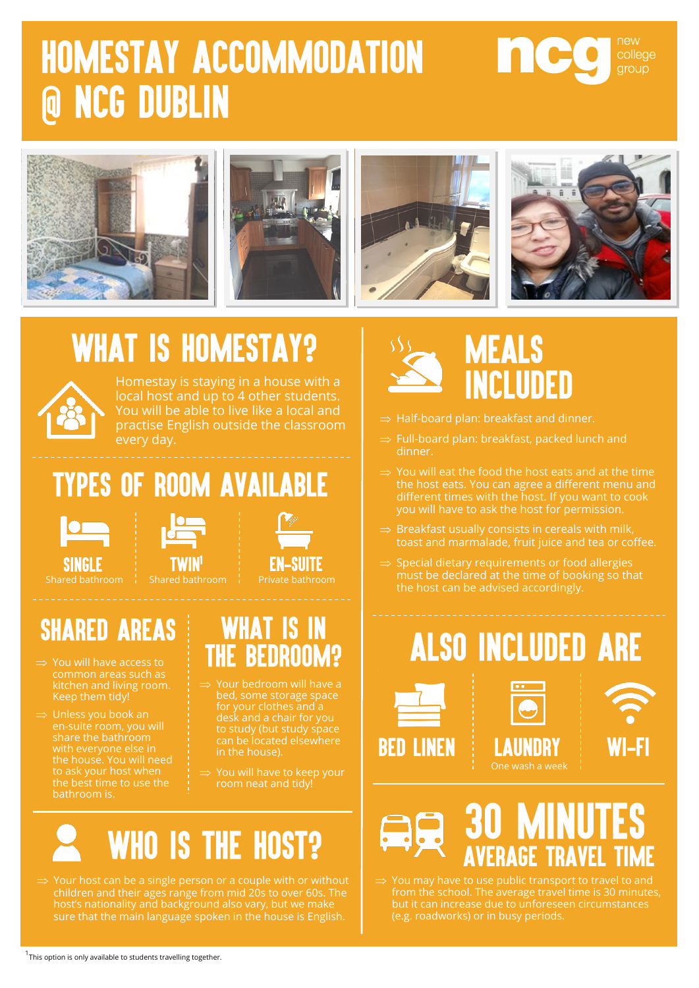# **HOMESTAY ACCOMMODATION @ NCG DUBLIN**



## **WHAT IS HOMESTAY?**



Homestay is staying in a house with a local host and up to 4 other students. You will be able to live like a local and practise English outside the classroom every day.

### **TYPES OF ROOM AVAILABLE**



**SINGLE** 



### **SHARED AREAS**

- $\Rightarrow$  You will have access to kitchen and living room. Keep them tidy!
- $\Rightarrow$  Unless you book an bathroom is.

#### **WHAT IS IN THE BEDROOM?**

- bed, some storage space desk and a chair for you in the house).
- room neat and tidy!



 $\Rightarrow$  Your host can be a single person or a couple with or without children and their ages range from mid 20s to over 60s. The host's nationality and background also vary, but we make sure that the main language spoken in the house is English.



- $\Rightarrow$  Half-board plan: breakfast and dinner.
- $\Rightarrow$  Full-board plan: breakfast, packed lunch and dinner.
- $\Rightarrow$  You will eat the food the host eats and at the time the host eats. You can agree a different menu and different times with the host. If you want to cook you will have to ask the host for permission.
- toast and marmalade, fruit juice and tea or coffee.
- $\Rightarrow$  Special dietary requirements or food allergies must be declared at the time of booking so that the host can be advised accordingly.

## **ALSO INCLUDED ARE**





new

college **aroup** 



 You may have to use public transport to travel to and from the school. The average travel time is 30 minutes,